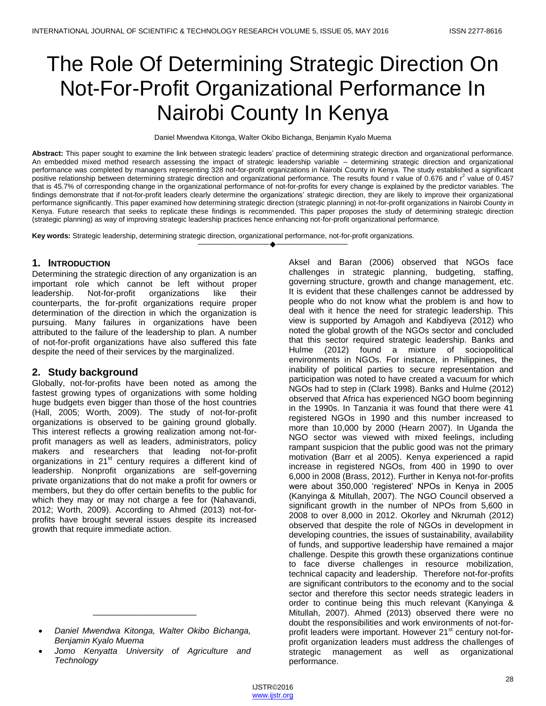# The Role Of Determining Strategic Direction On Not-For-Profit Organizational Performance In Nairobi County In Kenya

Daniel Mwendwa Kitonga, Walter Okibo Bichanga, Benjamin Kyalo Muema

**Abstract:** This paper sought to examine the link between strategic leaders' practice of determining strategic direction and organizational performance. An embedded mixed method research assessing the impact of strategic leadership variable – determining strategic direction and organizational performance was completed by managers representing 328 not-for-profit organizations in Nairobi County in Kenya. The study established a significant positive relationship between determining strategic direction and organizational performance. The results found r value of 0.676 and r<sup>2</sup> value of 0.457 that is 45.7% of corresponding change in the organizational performance of not-for-profits for every change is explained by the predictor variables. The findings demonstrate that if not-for-profit leaders clearly determine the organizations' strategic direction, they are likely to improve their organizational performance significantly. This paper examined how determining strategic direction (strategic planning) in not-for-profit organizations in Nairobi County in Kenya. Future research that seeks to replicate these findings is recommended. This paper proposes the study of determining strategic direction (strategic planning) as way of improving strategic leadership practices hence enhancing not-for-profit organizational performance.

————————————————————

**Key words:** Strategic leadership, determining strategic direction, organizational performance, not-for-profit organizations.

## **1. INTRODUCTION**

Determining the strategic direction of any organization is an important role which cannot be left without proper leadership. Not-for-profit organizations like their counterparts, the for-profit organizations require proper determination of the direction in which the organization is pursuing. Many failures in organizations have been attributed to the failure of the leadership to plan. A number of not-for-profit organizations have also suffered this fate despite the need of their services by the marginalized.

## **2. Study background**

Globally, not-for-profits have been noted as among the fastest growing types of organizations with some holding huge budgets even bigger than those of the host countries (Hall, 2005; Worth, 2009). The study of not-for-profit organizations is observed to be gaining ground globally. This interest reflects a growing realization among not-forprofit managers as well as leaders, administrators, policy makers and researchers that leading not-for-profit organizations in 21<sup>st</sup> century requires a different kind of leadership. Nonprofit organizations are self-governing private organizations that do not make a profit for owners or members, but they do offer certain benefits to the public for which they may or may not charge a fee for (Nahavandi, 2012; Worth, 2009). According to Ahmed (2013) not-forprofits have brought several issues despite its increased growth that require immediate action.

\_\_\_\_\_\_\_\_\_\_\_\_\_\_\_\_\_\_\_\_\_\_

 *Jomo Kenyatta University of Agriculture and Technology*

Aksel and Baran (2006) observed that NGOs face challenges in strategic planning, budgeting, staffing, governing structure, growth and change management, etc. It is evident that these challenges cannot be addressed by people who do not know what the problem is and how to deal with it hence the need for strategic leadership. This view is supported by Amagoh and Kabdiyeva (2012) who noted the global growth of the NGOs sector and concluded that this sector required strategic leadership. Banks and Hulme (2012) found a mixture of sociopolitical environments in NGOs. For instance, in Philippines, the inability of political parties to secure representation and participation was noted to have created a vacuum for which NGOs had to step in (Clark 1998). Banks and Hulme (2012) observed that Africa has experienced NGO boom beginning in the 1990s. In Tanzania it was found that there were 41 registered NGOs in 1990 and this number increased to more than 10,000 by 2000 (Hearn 2007). In Uganda the NGO sector was viewed with mixed feelings, including rampant suspicion that the public good was not the primary motivation (Barr et al 2005). Kenya experienced a rapid increase in registered NGOs, from 400 in 1990 to over 6,000 in 2008 (Brass, 2012). Further in Kenya not-for-profits were about 350,000 'registered' NPOs in Kenya in 2005 (Kanyinga & Mitullah, 2007). The NGO Council observed a significant growth in the number of NPOs from 5,600 in 2008 to over 8,000 in 2012. Okorley and Nkrumah (2012) observed that despite the role of NGOs in development in developing countries, the issues of sustainability, availability of funds, and supportive leadership have remained a major challenge. Despite this growth these organizations continue to face diverse challenges in resource mobilization, technical capacity and leadership. Therefore not-for-profits are significant contributors to the economy and to the social sector and therefore this sector needs strategic leaders in order to continue being this much relevant (Kanyinga & Mitullah, 2007). Ahmed (2013) observed there were no doubt the responsibilities and work environments of not-forprofit leaders were important. However 21<sup>st</sup> century not-forprofit organization leaders must address the challenges of strategic management as well as organizational performance.

*Daniel Mwendwa Kitonga, Walter Okibo Bichanga, Benjamin Kyalo Muema*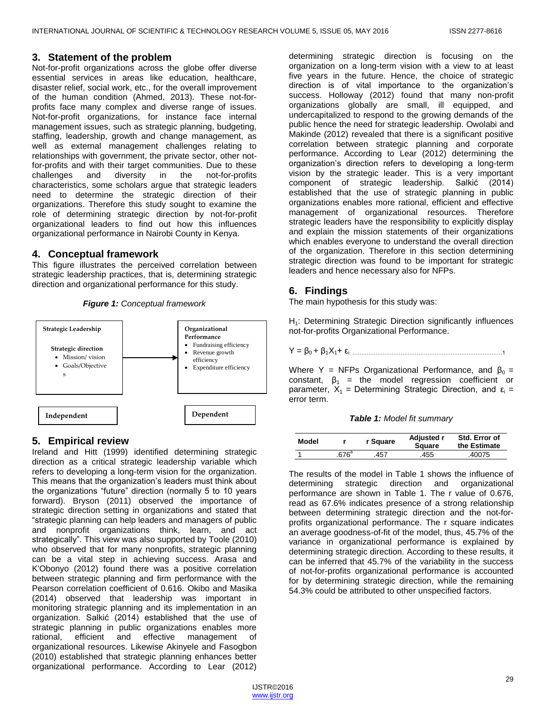## **3. Statement of the problem**

Not-for-profit organizations across the globe offer diverse essential services in areas like education, healthcare, disaster relief, social work, etc., for the overall improvement of the human condition (Ahmed, 2013). These not-forprofits face many complex and diverse range of issues. Not-for-profit organizations, for instance face internal management issues, such as strategic planning, budgeting, staffing, leadership, growth and change management, as well as external management challenges relating to relationships with government, the private sector, other notfor-profits and with their target communities. Due to these challenges and diversity in the not-for-profits characteristics, some scholars argue that strategic leaders need to determine the strategic direction of their organizations. Therefore this study sought to examine the role of determining strategic direction by not-for-profit organizational leaders to find out how this influences organizational performance in Nairobi County in Kenya.

## **4. Conceptual framework**

This figure illustrates the perceived correlation between strategic leadership practices, that is, determining strategic direction and organizational performance for this study.



*Figure 1: Conceptual framework*

## **5. Empirical review**

Ireland and Hitt (1999) identified determining strategic direction as a critical strategic leadership variable which refers to developing a long-term vision for the organization. This means that the organization's leaders must think about the organizations "future" direction (normally 5 to 10 years forward). Bryson (2011) observed the importance of strategic direction setting in organizations and stated that ―strategic planning can help leaders and managers of public and nonprofit organizations think, learn, and act strategically". This view was also supported by Toole (2010) who observed that for many nonprofits, strategic planning can be a vital step in achieving success. Arasa and K'Obonyo (2012) found there was a positive correlation between strategic planning and firm performance with the Pearson correlation coefficient of 0.616. Okibo and Masika (2014) observed that leadership was important in monitoring strategic planning and its implementation in an organization. Salkić (2014) established that the use of strategic planning in public organizations enables more rational, efficient and effective management of rational, efficient and effective management of organizational resources. Likewise Akinyele and Fasogbon (2010) established that strategic planning enhances better organizational performance. According to Lear (2012)

determining strategic direction is focusing on the organization on a long-term vision with a view to at least five years in the future. Hence, the choice of strategic direction is of vital importance to the organization's success. Holloway (2012) found that many non-profit organizations globally are small, ill equipped, and undercapitalized to respond to the growing demands of the public hence the need for strategic leadership. Owolabi and Makinde (2012) revealed that there is a significant positive correlation between strategic planning and corporate performance. According to Lear (2012) determining the organization's direction refers to developing a long-term vision by the strategic leader. This is a very important component of strategic leadership. Salkić (2014) established that the use of strategic planning in public organizations enables more rational, efficient and effective management of organizational resources. Therefore strategic leaders have the responsibility to explicitly display and explain the mission statements of their organizations which enables everyone to understand the overall direction of the organization. Therefore in this section determining strategic direction was found to be important for strategic leaders and hence necessary also for NFPs.

## **6. Findings**

The main hypothesis for this study was:

H<sub>1</sub>: Determining Strategic Direction significantly influences not-for-profits Organizational Performance.

Y = β0 + β1X1+ εi …………………………………………………………………………1

Where Y = NFPs Organizational Performance, and  $\beta_0$  = constant,  $\beta_1$  = the model regression coefficient or parameter,  $X_1$  = Determining Strategic Direction, and  $\varepsilon_i$  = error term.

*Table 1: Model fit summary*

| Model |       | r Sauare | Adjusted r<br>Square | Std. Error of<br>the Estimate |
|-------|-------|----------|----------------------|-------------------------------|
|       | .676ª | .457     | .455                 | .40075                        |

The results of the model in Table 1 shows the influence of determining strategic direction and organizational performance are shown in Table 1. The r value of 0.676, read as 67.6% indicates presence of a strong relationship between determining strategic direction and the not-forprofits organizational performance. The r square indicates an average goodness-of-fit of the model, thus, 45.7% of the variance in organizational performance is explained by determining strategic direction. According to these results, it can be inferred that 45.7% of the variability in the success of not-for-profits organizational performance is accounted for by determining strategic direction, while the remaining 54.3% could be attributed to other unspecified factors.

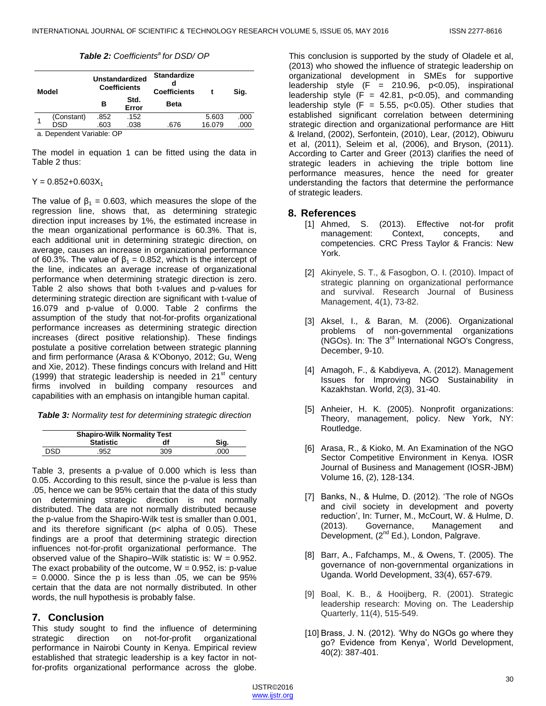#### *Table 2: Coefficients<sup>a</sup>for DSD/ OP*

| Model |            | <b>Unstandardized</b><br><b>Coefficients</b> |               | <b>Standardize</b><br><b>Coefficients</b> |        | Sig. |
|-------|------------|----------------------------------------------|---------------|-------------------------------------------|--------|------|
|       |            | в                                            | Std.<br>Error | <b>Beta</b>                               |        |      |
|       | (Constant) | .852                                         | .152          |                                           | 5.603  | .000 |
|       | DSD        | .603                                         | .038          | .676                                      | 16.079 | .000 |

a. Dependent Variable: OP

The model in equation 1 can be fitted using the data in Table 2 thus:

 $Y = 0.852 + 0.603X_1$ 

The value of  $\beta_1 = 0.603$ , which measures the slope of the regression line, shows that, as determining strategic direction input increases by 1%, the estimated increase in the mean organizational performance is 60.3%. That is, each additional unit in determining strategic direction, on average, causes an increase in organizational performance of 60.3%. The value of  $β_1 = 0.852$ , which is the intercept of the line, indicates an average increase of organizational performance when determining strategic direction is zero. Table 2 also shows that both t-values and p-values for determining strategic direction are significant with t-value of 16.079 and p-value of 0.000. Table 2 confirms the assumption of the study that not-for-profits organizational performance increases as determining strategic direction increases (direct positive relationship). These findings postulate a positive correlation between strategic planning and firm performance (Arasa & K'Obonyo, 2012; Gu, Weng and Xie, 2012). These findings concurs with Ireland and Hitt (1999) that strategic leadership is needed in  $21<sup>st</sup>$  century firms involved in building company resources and capabilities with an emphasis on intangible human capital.

*Table 3: Normality test for determining strategic direction*

|      | <b>Shapiro-Wilk Normality Test</b> |     |      |  |  |
|------|------------------------------------|-----|------|--|--|
|      | <b>Statistic</b>                   | df  | Sig. |  |  |
| DSD. | 952                                | 309 | .000 |  |  |

Table 3, presents a p-value of 0.000 which is less than 0.05. According to this result, since the p-value is less than .05, hence we can be 95% certain that the data of this study on determining strategic direction is not normally distributed. The data are not normally distributed because the p-value from the Shapiro-Wilk test is smaller than 0.001, and its therefore significant (p< alpha of 0.05). These findings are a proof that determining strategic direction influences not-for-profit organizational performance. The observed value of the Shapiro–Wilk statistic is:  $W = 0.952$ . The exact probability of the outcome,  $W = 0.952$ , is: p-value  $= 0.0000$ . Since the p is less than  $.05$ , we can be 95% certain that the data are not normally distributed. In other words, the null hypothesis is probably false.

## **7. Conclusion**

This study sought to find the influence of determining strategic direction on not-for-profit organizational performance in Nairobi County in Kenya. Empirical review established that strategic leadership is a key factor in notfor-profits organizational performance across the globe.

This conclusion is supported by the study of Oladele et al, (2013) who showed the influence of strategic leadership on organizational development in SMEs for supportive leadership style  $(F = 210.96, p<0.05)$ , inspirational leadership style  $(F = 42.81, p<0.05)$ , and commanding leadership style  $(F = 5.55, p<0.05)$ . Other studies that established significant correlation between determining strategic direction and organizational performance are Hitt & Ireland, (2002), Serfontein, (2010), Lear, (2012), Obiwuru et al, (2011), Seleim et al, (2006), and Bryson, (2011). According to Carter and Greer (2013) clarifies the need of strategic leaders in achieving the triple bottom line performance measures, hence the need for greater understanding the factors that determine the performance of strategic leaders.

## **8. References**

- [1] Ahmed, S. (2013). Effective not-for profit management: Context, concepts, and competencies. CRC Press Taylor & Francis: New York.
- [2] Akinyele, S. T., & Fasogbon, O. I. (2010). Impact of strategic planning on organizational performance and survival. Research Journal of Business Management, 4(1), 73-82.
- [3] Aksel, I., & Baran, M. (2006). Organizational problems of non-governmental organizations (NGOs). In: The 3rd International NGO's Congress, December, 9-10.
- [4] Amagoh, F., & Kabdiyeva, A. (2012). Management Issues for Improving NGO Sustainability in Kazakhstan. World, 2(3), 31-40.
- [5] Anheier, H. K. (2005). Nonprofit organizations: Theory, management, policy. New York, NY: Routledge.
- [6] Arasa, R., & Kioko, M. An Examination of the NGO Sector Competitive Environment in Kenya. IOSR Journal of Business and Management (IOSR-JBM) Volume 16, (2), 128-134.
- [7] Banks, N., & Hulme, D. (2012). 'The role of NGOs and civil society in development and poverty reduction', In: Turner, M., McCourt, W. & Hulme, D. (2013). Governance, Management and Development, (2<sup>nd</sup> Ed.), London, Palgrave.
- [8] Barr, A., Fafchamps, M., & Owens, T. (2005). The governance of non-governmental organizations in Uganda. World Development, 33(4), 657-679.
- [9] Boal, K. B., & Hooijberg, R. (2001). Strategic leadership research: Moving on. The Leadership Quarterly, 11(4), 515-549.
- [10] Brass, J. N. (2012). 'Why do NGOs go where they go? Evidence from Kenya', World Development, 40(2): 387-401.

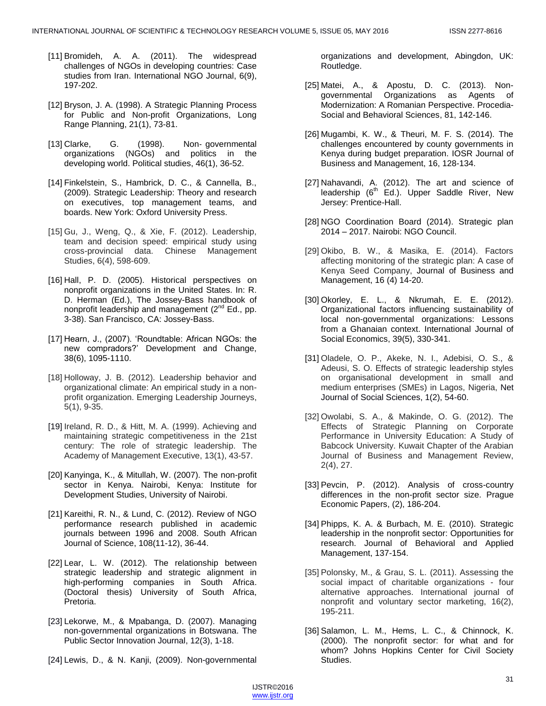- [11] Bromideh, A. A. (2011). The widespread challenges of NGOs in developing countries: Case studies from Iran. International NGO Journal, 6(9), 197-202.
- [12] Bryson, J. A. (1998). A Strategic Planning Process for Public and Non-profit Organizations, Long Range Planning, 21(1), 73-81.
- [13] Clarke, G. (1998). Non‐ governmental organizations (NGOs) and politics in the developing world. Political studies, 46(1), 36-52.
- [14] Finkelstein, S., Hambrick, D. C., & Cannella, B., (2009). Strategic Leadership: Theory and research on executives, top management teams, and boards. New York: Oxford University Press.
- [15] Gu, J., Weng, Q., & Xie, F. (2012). Leadership, team and decision speed: empirical study using cross-provincial data. Chinese Management Studies, 6(4), 598-609.
- [16] Hall, P. D. (2005). Historical perspectives on nonprofit organizations in the United States. In: R. D. Herman (Ed.), The Jossey-Bass handbook of nonprofit leadership and management  $(2^{nd} Ed.$ , pp. 3-38). San Francisco, CA: Jossey-Bass.
- [17] Hearn, J., (2007). 'Roundtable: African NGOs: the new compradors?' Development and Change, 38(6), 1095-1110.
- [18] Holloway, J. B. (2012). Leadership behavior and organizational climate: An empirical study in a nonprofit organization. Emerging Leadership Journeys, 5(1), 9-35.
- [19] Ireland, R. D., & Hitt, M. A. (1999). Achieving and maintaining strategic competitiveness in the 21st century: The role of strategic leadership. The Academy of Management Executive, 13(1), 43-57.
- [20] Kanyinga, K., & Mitullah, W. (2007). The non-profit sector in Kenya. Nairobi, Kenya: Institute for Development Studies, University of Nairobi.
- [21] Kareithi, R. N., & Lund, C. (2012). Review of NGO performance research published in academic journals between 1996 and 2008. South African Journal of Science, 108(11-12), 36-44.
- [22] Lear, L. W. (2012). The relationship between strategic leadership and strategic alignment in high-performing companies in South Africa. (Doctoral thesis) University of South Africa, Pretoria.
- [23] Lekorwe, M., & Mpabanga, D. (2007). Managing non-governmental organizations in Botswana. The Public Sector Innovation Journal, 12(3), 1-18.
- [24] Lewis, D., & N. Kanji, (2009). Non-governmental

organizations and development, Abingdon, UK: Routledge.

- [25] Matei, A., & Apostu, D. C. (2013). Nongovernmental Organizations as Agents of Modernization: A Romanian Perspective. Procedia-Social and Behavioral Sciences, 81, 142-146.
- [26] Mugambi, K. W., & Theuri, M. F. S. (2014). The challenges encountered by county governments in Kenya during budget preparation. IOSR Journal of Business and Management, 16, 128-134.
- [27] Nahavandi, A. (2012). The art and science of leadership (6<sup>th</sup> Ed.). Upper Saddle River, New Jersey: Prentice-Hall.
- [28] NGO Coordination Board (2014). Strategic plan 2014 – 2017. Nairobi: NGO Council.
- [29] Okibo, B. W., & Masika, E. (2014). Factors affecting monitoring of the strategic plan: A case of Kenya Seed Company, Journal of Business and Management, 16 (4) 14-20.
- [30] Okorley, E. L., & Nkrumah, E. E. (2012). Organizational factors influencing sustainability of local non-governmental organizations: Lessons from a Ghanaian context. International Journal of Social Economics, 39(5), 330-341.
- [31] Oladele, O. P., Akeke, N. I., Adebisi, O. S., & Adeusi, S. O. Effects of strategic leadership styles on organisational development in small and medium enterprises (SMEs) in Lagos, Nigeria, Net Journal of Social Sciences, 1(2), 54-60.
- [32] Owolabi, S. A., & Makinde, O. G. (2012). The Effects of Strategic Planning on Corporate Performance in University Education: A Study of Babcock University. Kuwait Chapter of the Arabian Journal of Business and Management Review, 2(4), 27.
- [33] Pevcin, P. (2012). Analysis of cross-country differences in the non-profit sector size. Prague Economic Papers, (2), 186-204.
- [34] Phipps, K. A. & Burbach, M. E. (2010). Strategic leadership in the nonprofit sector: Opportunities for research. Journal of Behavioral and Applied Management, 137-154.
- [35] Polonsky, M., & Grau, S. L. (2011). Assessing the social impact of charitable organizations - four alternative approaches. International journal of nonprofit and voluntary sector marketing, 16(2), 195-211.
- [36] Salamon, L. M., Hems, L. C., & Chinnock, K. (2000). The nonprofit sector: for what and for whom? Johns Hopkins Center for Civil Society Studies.